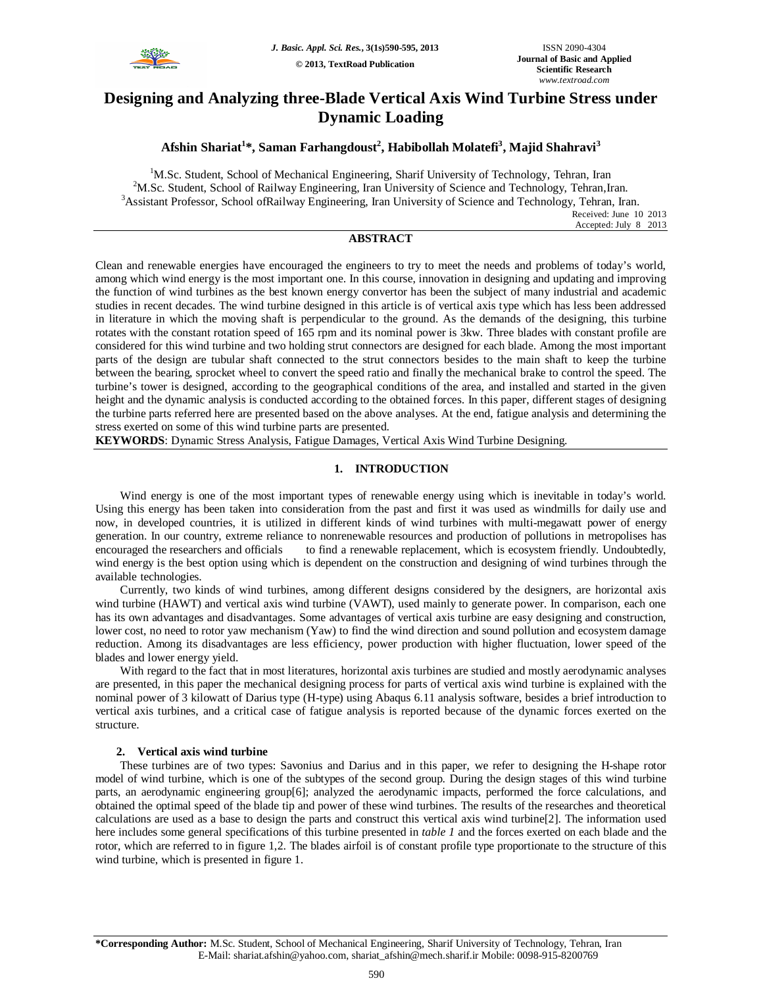

# **Designing and Analyzing three-Blade Vertical Axis Wind Turbine Stress under Dynamic Loading**

# **Afshin Shariat<sup>1</sup> \*, Saman Farhangdoust<sup>2</sup> , Habibollah Molatefi<sup>3</sup> , Majid Shahravi<sup>3</sup>**

<sup>1</sup>M.Sc. Student, School of Mechanical Engineering, Sharif University of Technology, Tehran, Iran <sup>2</sup>M.Sc. Student, School of Railway Engineering, Iran University of Science and Technology, Tehran,Iran. <sup>3</sup>Assistant Professor, School ofRailway Engineering, Iran University of Science and Technology, Tehran, Iran. Received: June 10 2013 Accepted: July 8 2013

**ABSTRACT**

Clean and renewable energies have encouraged the engineers to try to meet the needs and problems of today's world, among which wind energy is the most important one. In this course, innovation in designing and updating and improving the function of wind turbines as the best known energy convertor has been the subject of many industrial and academic studies in recent decades. The wind turbine designed in this article is of vertical axis type which has less been addressed in literature in which the moving shaft is perpendicular to the ground. As the demands of the designing, this turbine rotates with the constant rotation speed of 165 rpm and its nominal power is 3kw. Three blades with constant profile are considered for this wind turbine and two holding strut connectors are designed for each blade. Among the most important parts of the design are tubular shaft connected to the strut connectors besides to the main shaft to keep the turbine between the bearing, sprocket wheel to convert the speed ratio and finally the mechanical brake to control the speed. The turbine's tower is designed, according to the geographical conditions of the area, and installed and started in the given height and the dynamic analysis is conducted according to the obtained forces. In this paper, different stages of designing the turbine parts referred here are presented based on the above analyses. At the end, fatigue analysis and determining the stress exerted on some of this wind turbine parts are presented.

**KEYWORDS**: Dynamic Stress Analysis, Fatigue Damages, Vertical Axis Wind Turbine Designing.

# **1. INTRODUCTION**

Wind energy is one of the most important types of renewable energy using which is inevitable in today's world. Using this energy has been taken into consideration from the past and first it was used as windmills for daily use and now, in developed countries, it is utilized in different kinds of wind turbines with multi-megawatt power of energy generation. In our country, extreme reliance to nonrenewable resources and production of pollutions in metropolises has encouraged the researchers and officials to find a renewable replacement, which is ecosystem friendly. Undoubtedly, wind energy is the best option using which is dependent on the construction and designing of wind turbines through the available technologies.

Currently, two kinds of wind turbines, among different designs considered by the designers, are horizontal axis wind turbine (HAWT) and vertical axis wind turbine (VAWT), used mainly to generate power. In comparison, each one has its own advantages and disadvantages. Some advantages of vertical axis turbine are easy designing and construction, lower cost, no need to rotor yaw mechanism (Yaw) to find the wind direction and sound pollution and ecosystem damage reduction. Among its disadvantages are less efficiency, power production with higher fluctuation, lower speed of the blades and lower energy yield.

With regard to the fact that in most literatures, horizontal axis turbines are studied and mostly aerodynamic analyses are presented, in this paper the mechanical designing process for parts of vertical axis wind turbine is explained with the nominal power of 3 kilowatt of Darius type (H-type) using Abaqus 6.11 analysis software, besides a brief introduction to vertical axis turbines, and a critical case of fatigue analysis is reported because of the dynamic forces exerted on the structure.

# **2. Vertical axis wind turbine**

These turbines are of two types: Savonius and Darius and in this paper, we refer to designing the H-shape rotor model of wind turbine, which is one of the subtypes of the second group. During the design stages of this wind turbine parts, an aerodynamic engineering group[6]; analyzed the aerodynamic impacts, performed the force calculations, and obtained the optimal speed of the blade tip and power of these wind turbines. The results of the researches and theoretical calculations are used as a base to design the parts and construct this vertical axis wind turbine[2]. The information used here includes some general specifications of this turbine presented in *table 1* and the forces exerted on each blade and the rotor, which are referred to in figure 1,2. The blades airfoil is of constant profile type proportionate to the structure of this wind turbine, which is presented in figure 1.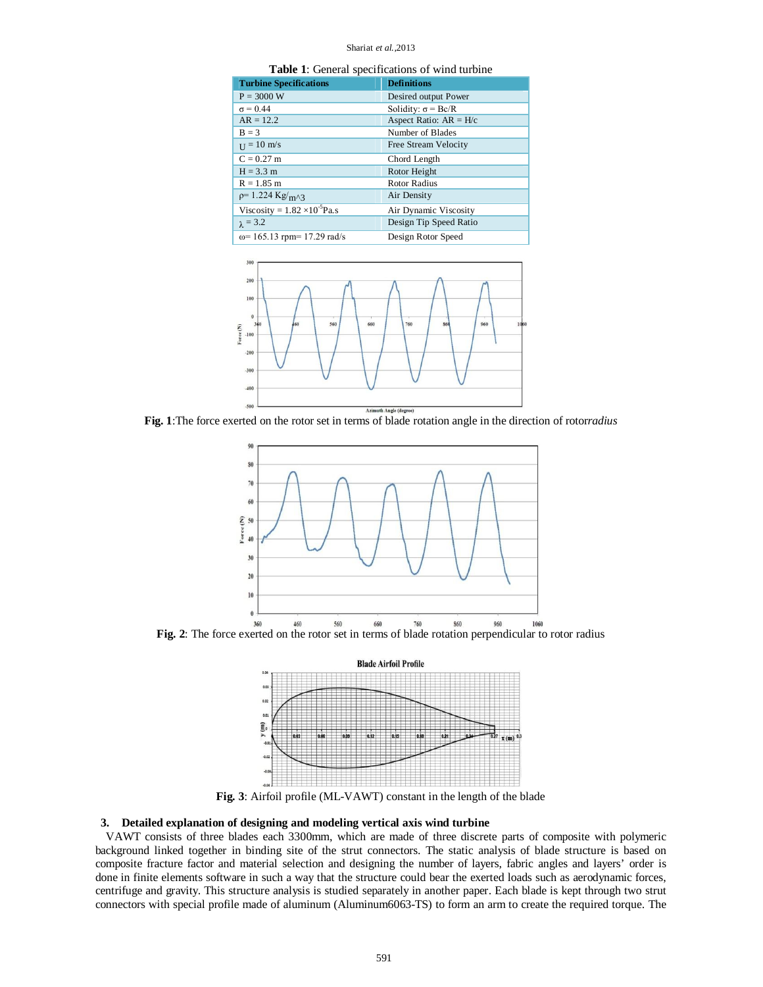#### Shariat *et al.,*2013

| <b>Table 1:</b> General specifications of wind turbine |  |  |  |
|--------------------------------------------------------|--|--|--|
|--------------------------------------------------------|--|--|--|

| <b>Turbine Specifications</b>          | <b>Definitions</b>               |
|----------------------------------------|----------------------------------|
| $P = 3000 W$                           | Desired output Power             |
| $\sigma = 0.44$                        | Solidity: $\sigma = \text{Bc/R}$ |
| $AR = 12.2$                            | Aspect Ratio: $AR = H/c$         |
| $B = 3$                                | Number of Blades                 |
| $_{\text{II}} = 10 \text{ m/s}$        | Free Stream Velocity             |
| $C = 0.27$ m                           | Chord Length                     |
| $H = 3.3 m$                            | Rotor Height                     |
| $R = 1.85$ m                           | <b>Rotor Radius</b>              |
| $p=1.224$ Kg/ <sub>m^3</sub>           | Air Density                      |
| Viscosity = $1.82 \times 10^{-5}$ Pa.s | Air Dynamic Viscosity            |
| $\lambda$ = 3.2                        | Design Tip Speed Ratio           |
| $\omega$ = 165.13 rpm= 17.29 rad/s     | Design Rotor Speed               |



**Fig. 1**:The force exerted on the rotor set in terms of blade rotation angle in the direction of rotor*radius*





**Fig. 3**: Airfoil profile (ML-VAWT) constant in the length of the blade

# **3. Detailed explanation of designing and modeling vertical axis wind turbine**

VAWT consists of three blades each 3300mm, which are made of three discrete parts of composite with polymeric background linked together in binding site of the strut connectors. The static analysis of blade structure is based on composite fracture factor and material selection and designing the number of layers, fabric angles and layers' order is done in finite elements software in such a way that the structure could bear the exerted loads such as aerodynamic forces, centrifuge and gravity. This structure analysis is studied separately in another paper. Each blade is kept through two strut connectors with special profile made of aluminum (Aluminum6063-TS) to form an arm to create the required torque. The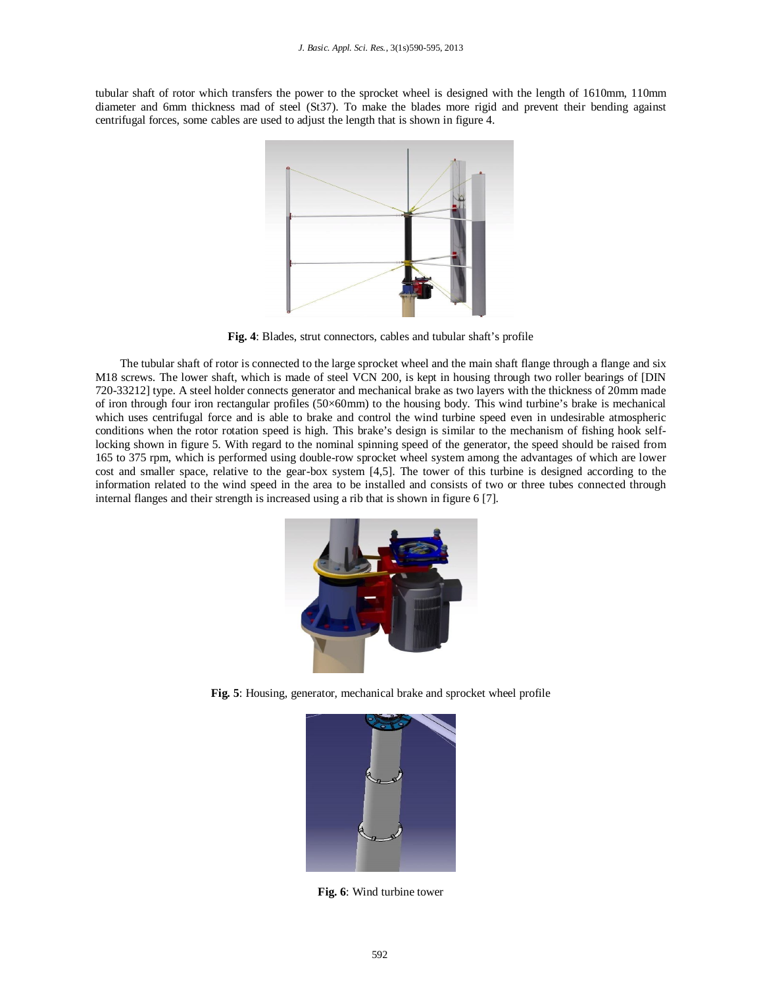tubular shaft of rotor which transfers the power to the sprocket wheel is designed with the length of 1610mm, 110mm diameter and 6mm thickness mad of steel (St37). To make the blades more rigid and prevent their bending against centrifugal forces, some cables are used to adjust the length that is shown in figure 4.



**Fig. 4**: Blades, strut connectors, cables and tubular shaft's profile

The tubular shaft of rotor is connected to the large sprocket wheel and the main shaft flange through a flange and six M18 screws. The lower shaft, which is made of steel VCN 200, is kept in housing through two roller bearings of [DIN 720-33212] type. A steel holder connects generator and mechanical brake as two layers with the thickness of 20mm made of iron through four iron rectangular profiles (50×60mm) to the housing body. This wind turbine's brake is mechanical which uses centrifugal force and is able to brake and control the wind turbine speed even in undesirable atmospheric conditions when the rotor rotation speed is high. This brake's design is similar to the mechanism of fishing hook selflocking shown in figure 5. With regard to the nominal spinning speed of the generator, the speed should be raised from 165 to 375 rpm, which is performed using double-row sprocket wheel system among the advantages of which are lower cost and smaller space, relative to the gear-box system [4,5]. The tower of this turbine is designed according to the information related to the wind speed in the area to be installed and consists of two or three tubes connected through internal flanges and their strength is increased using a rib that is shown in figure 6 [7].



**Fig. 5**: Housing, generator, mechanical brake and sprocket wheel profile



**Fig. 6**: Wind turbine tower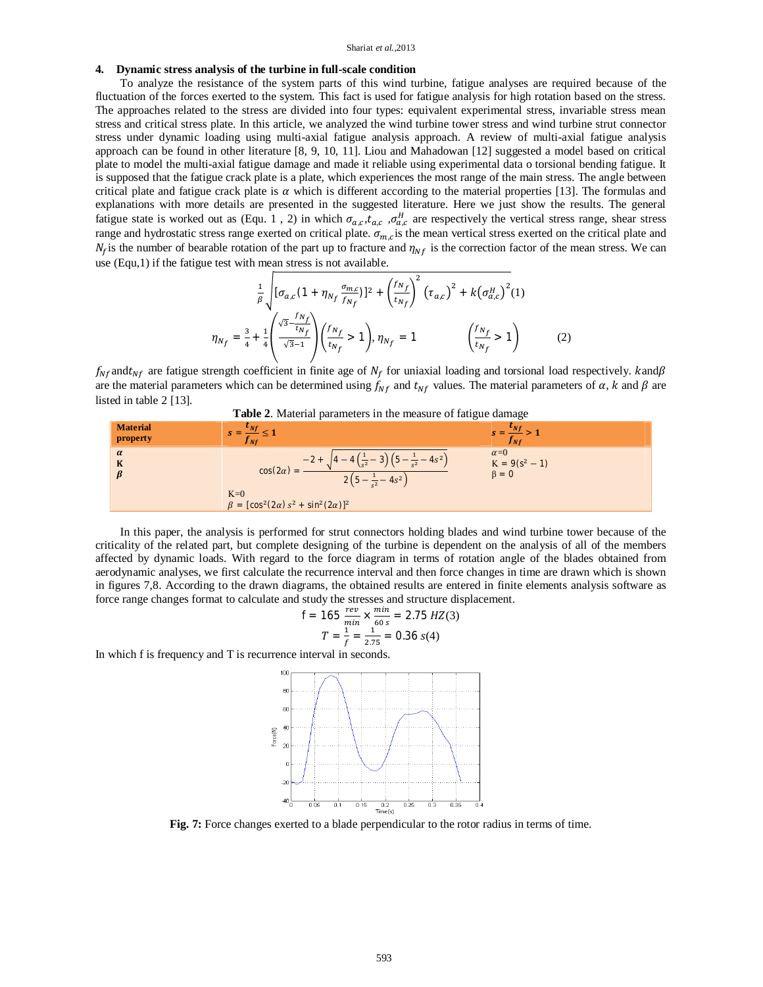### **4. Dynamic stress analysis of the turbine in full-scale condition**

To analyze the resistance of the system parts of this wind turbine, fatigue analyses are required because of the fluctuation of the forces exerted to the system. This fact is used for fatigue analysis for high rotation based on the stress. The approaches related to the stress are divided into four types: equivalent experimental stress, invariable stress mean stress and critical stress plate. In this article, we analyzed the wind turbine tower stress and wind turbine strut connector stress under dynamic loading using multi-axial fatigue analysis approach. A review of multi-axial fatigue analysis approach can be found in other literature [8, 9, 10, 11]. Liou and Mahadowan [12] suggested a model based on critical plate to model the multi-axial fatigue damage and made it reliable using experimental data o torsional bending fatigue. It is supposed that the fatigue crack plate is a plate, which experiences the most range of the main stress. The angle between critical plate and fatigue crack plate is  $\alpha$  which is different according to the material properties [13]. The formulas and explanations with more details are presented in the suggested literature. Here we just show the results. The general fatigue state is worked out as (Equ. 1, 2) in which  $\sigma_{a,c}$ ,  $t_{a,c}$ ,  $\sigma_{a,c}^H$  are respectively the vertical stress range, shear stress range and hydrostatic stress range exerted on critical plate.  $\sigma_{m,c}$  is the mean vertical stress exerted on the critical plate and  $N_f$  is the number of bearable rotation of the part up to fracture and  $\eta_{N_f}$  is the correction factor of the mean stress. We can use (Equ,1) if the fatigue test with mean stress is not available.

$$
\frac{1}{\beta} \sqrt{[\sigma_{a,c}(1 + \eta_{N_f} \frac{\sigma_{m,c}}{f_{N_f}})]^2 + \left(\frac{f_{N_f}}{t_{N_f}}\right)^2} (\tau_{a,c})^2 + k(\sigma_{a,c}^H)^2 (1)
$$
\n
$$
\eta_{N_f} = \frac{3}{4} + \frac{1}{4} \left(\frac{\sqrt{3} - \frac{f_{N_f}}{t_{N_f}}}{\sqrt{3} - 1}\right) \left(\frac{f_{N_f}}{t_{N_f}} > 1\right), \eta_{N_f} = 1 \qquad \left(\frac{f_{N_f}}{t_{N_f}} > 1\right) \tag{2}
$$

 $f_{Nf}$ and $t_{Nf}$  are fatigue strength coefficient in finite age of  $N_f$  for uniaxial loading and torsional load respectively. kand $\beta$ are the material parameters which can be determined using  $f_{Nf}$  and  $t_{Nf}$  values. The material parameters of  $\alpha$ ,  $k$  and  $\beta$  are listed in table 2 [13].



| $\alpha=0$<br>$\alpha$<br>$-4s^2$<br>$-2 +$<br>$K = 9(s2 - 1)$<br>K<br>$cos(2\alpha) =$<br>$\beta = 0$<br>$-\frac{1}{s^2}-4s^2$ | <b>Material</b><br>property | ັ | ັ<br>$S = -1$<br>J Nf |
|---------------------------------------------------------------------------------------------------------------------------------|-----------------------------|---|-----------------------|
| $K=0$<br>$\beta = [\cos^2(2\alpha) s^2 + \sin^2(2\alpha)]^2$                                                                    |                             |   |                       |

In this paper, the analysis is performed for strut connectors holding blades and wind turbine tower because of the criticality of the related part, but complete designing of the turbine is dependent on the analysis of all of the members affected by dynamic loads. With regard to the force diagram in terms of rotation angle of the blades obtained from aerodynamic analyses, we first calculate the recurrence interval and then force changes in time are drawn which is shown in figures 7,8. According to the drawn diagrams, the obtained results are entered in finite elements analysis software as force range changes format to calculate and study the stresses and structure displacement.

$$
f = 165 \frac{rev}{min} \times \frac{min}{60 s} = 2.75 \text{ Hz}(3)
$$

$$
T = \frac{1}{f} = \frac{1}{2.75} = 0.36 \text{ s}(4)
$$

In which f is frequency and T is recurrence interval in seconds.



**Fig. 7:** Force changes exerted to a blade perpendicular to the rotor radius in terms of time.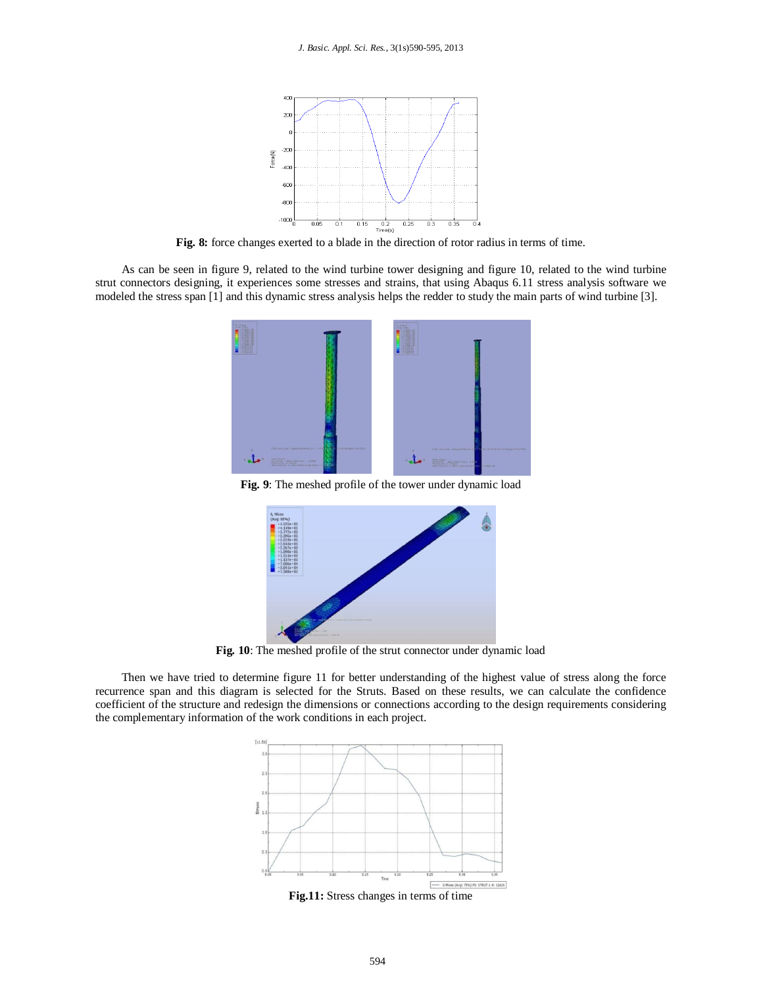

**Fig. 8:** force changes exerted to a blade in the direction of rotor radius in terms of time.

As can be seen in figure 9, related to the wind turbine tower designing and figure 10, related to the wind turbine strut connectors designing, it experiences some stresses and strains, that using Abaqus 6.11 stress analysis software we modeled the stress span [1] and this dynamic stress analysis helps the redder to study the main parts of wind turbine [3].



**Fig. 9**: The meshed profile of the tower under dynamic load



**Fig. 10**: The meshed profile of the strut connector under dynamic load

Then we have tried to determine figure 11 for better understanding of the highest value of stress along the force recurrence span and this diagram is selected for the Struts. Based on these results, we can calculate the confidence coefficient of the structure and redesign the dimensions or connections according to the design requirements considering the complementary information of the work conditions in each project.



**Fig.11:** Stress changes in terms of time